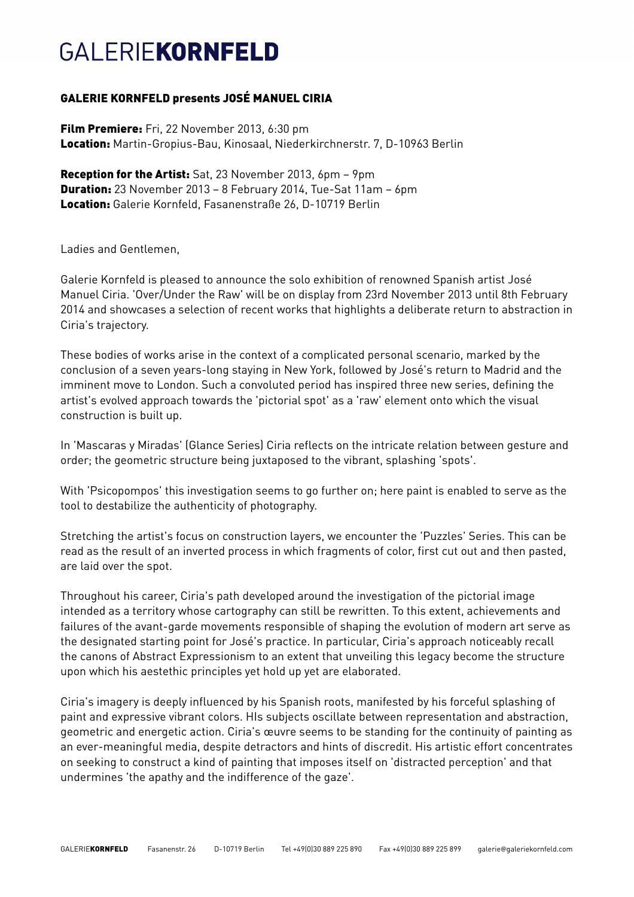## **GAI FRIFKORNFELD**

### GALERIE KORNFELD presents JOSÉ MANUEL CIRIA

Film Premiere: Fri, 22 November 2013, 6:30 pm Location: Martin-Gropius-Bau, Kinosaal, Niederkirchnerstr. 7, D-10963 Berlin

Reception for the Artist: Sat, 23 November 2013, 6pm - 9pm Duration: 23 November 2013 – 8 February 2014, Tue-Sat 11am – 6pm Location: Galerie Kornfeld, Fasanenstraße 26, D-10719 Berlin

Ladies and Gentlemen,

Galerie Kornfeld is pleased to announce the solo exhibition of renowned Spanish artist José Manuel Ciria. 'Over/Under the Raw' will be on display from 23rd November 2013 until 8th February 2014 and showcases a selection of recent works that highlights a deliberate return to abstraction in Ciria's trajectory.

These bodies of works arise in the context of a complicated personal scenario, marked by the conclusion of a seven years-long staying in New York, followed by José's return to Madrid and the imminent move to London. Such a convoluted period has inspired three new series, defining the artist's evolved approach towards the 'pictorial spot' as a 'raw' element onto which the visual construction is built up.

In 'Mascaras y Miradas' (Glance Series) Ciria reflects on the intricate relation between gesture and order; the geometric structure being juxtaposed to the vibrant, splashing 'spots'.

With 'Psicopompos' this investigation seems to go further on; here paint is enabled to serve as the tool to destabilize the authenticity of photography.

Stretching the artist's focus on construction layers, we encounter the 'Puzzles' Series. This can be read as the result of an inverted process in which fragments of color, first cut out and then pasted, are laid over the spot.

Throughout his career, Ciria's path developed around the investigation of the pictorial image intended as a territory whose cartography can still be rewritten. To this extent, achievements and failures of the avant-garde movements responsible of shaping the evolution of modern art serve as the designated starting point for José's practice. In particular, Ciria's approach noticeably recall the canons of Abstract Expressionism to an extent that unveiling this legacy become the structure upon which his aestethic principles yet hold up yet are elaborated.

Ciria's imagery is deeply influenced by his Spanish roots, manifested by his forceful splashing of paint and expressive vibrant colors. HIs subjects oscillate between representation and abstraction, geometric and energetic action. Ciria's œuvre seems to be standing for the continuity of painting as an ever-meaningful media, despite detractors and hints of discredit. His artistic effort concentrates on seeking to construct a kind of painting that imposes itself on 'distracted perception' and that undermines 'the apathy and the indifference of the gaze'.